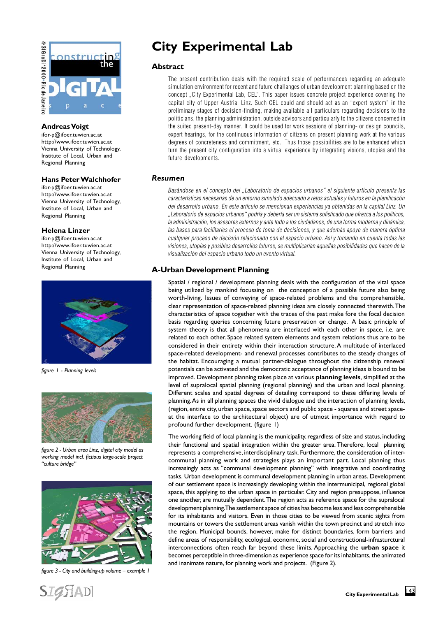

## **Andreas Voigt**

ifor-p@ifoer.tuwien.ac.at http://www.ifoer.tuwien.ac.at Vienna University of Technology, Institute of Local, Urban and Regional Planning

## **Hans Peter Walchhofer**

ifor-p@ifoer.tuwien.ac.at http://www.ifoer.tuwien.ac.at Vienna University of Technology, Institute of Local, Urban and Regional Planning

### **Helena Linzer**

ifor-p@ifoer.tuwien.ac.at http://www.ifoer.tuwien.ac.at Vienna University of Technology, Institute of Local, Urban and Regional Planning



*figure 1 - Planning levels*



*figure 2 - Urban area Linz, digital city model as working model incl. fictious large-scale project "culture bridge"*



*figure 3 - City and building-up volume – example 1*

**SIGHADI** 

# **City Experimental Lab**

## **Abstract**

The present contribution deals with the required scale of performances regarding an adequate simulation environment for recent and future challanges of urban development planning based on the concept "City Experimental Lab, CEL". This paper issues concrete project experience covering the capital city of Upper Austria, Linz. Such CEL could and should act as an "expert system" in the preliminary stages of decision-finding, making available all particulars regarding decisions to the politicians, the planning administration, outside advisors and particularly to the citizens concerned in the suited present-day manner. It could be used for work sessions of planning- or design councils, expert hearings, for the continuous information of citizens on present planning work at the various degrees of concreteness and commitment, etc.. Thus those possibilities are to be enhanced which turn the present city configuration into a virtual experience by integrating visions, utopias and the future developments.

# *Resumen*

Basándose en el concepto del "Laboratorio de espacios urbanos" el siguiente artículo presenta las características necesarias de un entorno simulado adecuado a retos actuales y futuros en la planificacón del desarrollo urbano. En este artículo se mencionan experiencias ya obtenidas en la capital Linz. Un "Laboratorio de espacios urbanos" podría y debería ser un sistema sofisticado que ofrezca a los políticos, la administración, los asesores externos y ante todo a los ciudadanos, de una forma moderna y dinámica, las bases para facilitarles el proceso de toma de decisiones, y que además apoye de manera óptima cualquier proceso de decisión relacionado con el espacio urbano. Así y tomando en cuenta todas las visiones, utopías y posibles desarrollos futuros, se multiplicarían aquellas posibilidades que hacen de la visualización del espacio urbano todo un evento virtual.

# **A-Urban Development Planning**

Spatial / regional / development planning deals with the configuration of the vital space being utilized by mankind focussing on the conception of a possible future also being worth-living. Issues of conveying of space-related problems and the comprehensible, clear representation of space-related planning ideas are closely connected therewith. The characteristics of space together with the traces of the past make fore the focal decision basis regarding queries concerning future preservation or change. A basic principle of system theory is that all phenomena are interlaced with each other in space, i.e. are related to each other. Space related system elements and system relations thus are to be considered in their entirety within their interaction structure. A multitude of interlaced space-related development- and renewal processes contributes to the steady changes of the habitat. Encouraging a mutual partner-dialogue throughout the citizenship renewal potentials can be activated and the democratic acceptance of planning ideas is bound to be improved. Development planning takes place at various **planning levels**, simplified at the level of supralocal spatial planning (regional planning) and the urban and local planning. Different scales and spatial degrees of detailing correspond to these differing levels of planning. As in all planning spaces the vivid dialogue and the interaction of planning levels, (region, entire city, urban space, space sectors and public space - squares and street spaceat the interface to the architectural object) are of utmost importance with regard to profound further development. (figure 1)

The working field of local planning is the municipality, regardless of size and status, including their functional and spatial integration within the greater area. Therefore, local planning represents a comprehensive, interdisciplinary task. Furthermore, the consideration of intercommunal planning work and strategies plays an important part. Local planning thus increasingly acts as "communal development planning" with integrative and coordinating tasks. Urban development is communal development planning in urban areas. Development of our settlement space is increasingly developing within the intermunicipal, regional global space, this applying to the urban space in particular. City and region presuppose, influence one another, are mutually dependent. The region acts as reference space for the supralocal development planning. The settlement space of cities has become less and less comprehensible for its inhabitants and visitors. Even in those cities to be viewed from scenic sights from mountains or towers the settlement areas vanish within the town precinct and stretch into the region. Municipal bounds, however, make for distinct boundaries, form barriers and define areas of responsibility, ecological, economic, social and constructional-infrasturctural interconnections often reach far beyond these limits. Approaching the **urban space** it becomes perceptible in three-dimension as experience space for its inhabitants, the animated and inanimate nature, for planning work and projects. (Figure 2).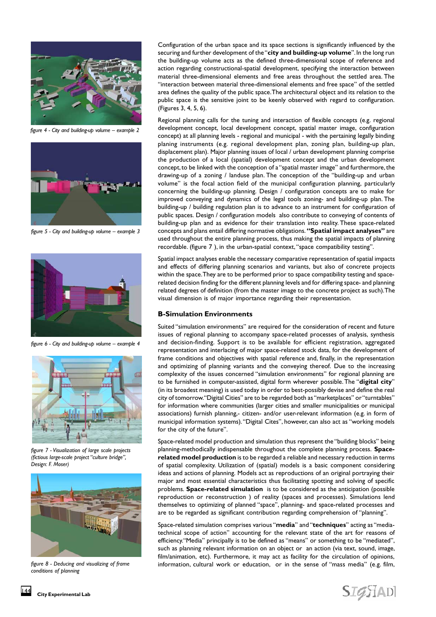

*figure 4 - City and building-up volume – example 2*



*figure 5 - City and building-up volume – example 3*



*figure 6 - City and building-up volume – example 4*



*figure 7 - Visualization of large scale projects (fictious large-scale project "culture bridge", Design: F. Moser)*



*figure 8 - Deducing and visualizing of frame conditions of planning*

Configuration of the urban space and its space sections is significantly influenced by the securing and further development of the "**city and building-up volume**". In the long run the building-up volume acts as the defined three-dimensional scope of reference and action regarding constructional-spatial development, specifying the interaction between material three-dimensional elements and free areas throughout the settled area. The "interaction between material three-dimensional elements and free space" of the settled area defines the quality of the public space. The architectural object and its relation to the public space is the sensitive joint to be keenly observed with regard to configuration. (Figures 3, 4, 5, 6).

Regional planning calls for the tuning and interaction of flexible concepts (e.g. regional development concept, local development concept, spatial master image, configuration concept) at all planning levels - regional and municipal - with the pertaining legally binding planing instruments (e.g. regional development plan, zoning plan, building-up plan, displacement plan). Major planning issues of local / urban development planning comprise the production of a local (spatial) development concept and the urban development concept, to be linked with the conception of a "spatial master image" and furthermore, the drawing-up of a zoning / landuse plan. The conception of the "building-up and urban volume" is the focal action field of the municipal configuration planning, particularly concerning the building-up planning. Design / configuration concepts are to make for improved conveying and dynamics of the legal tools zoning- and building-up plan. The building-up / building regulation plan is to advance to an instrument for configuration of public spaces. Design / configuration models also contribute to conveying of contents of building-up plan and as evidence for their translation into reality. These space-related concepts and plans entail differing normative obligations. **"Spatial impact analyses"** are used throughout the entire planning process, thus making the spatial impacts of planning recordable. (figure 7 ), in the urban-spatial context, "space compatibility testing".

Spatial impact analyses enable the necessary comparative representation of spatial impacts and effects of differing planning scenarios and variants, but also of concrete projects within the space. They are to be performed prior to space compatibility testing and spacerelated decision finding for the different planning levels and for differing space- and planning related degrees of definition (from the master image to the concrete project as such). The visual dimension is of major importance regarding their representation.

### **B-Simulation Environments**

Suited "simulation environments" are required for the consideration of recent and future issues of regional planning to accompany space-related processes of analysis, synthesis and decision-finding. Support is to be available for efficient registration, aggregated representation and interlacing of major space-related stock data, for the development of frame conditions and objectives with spatial reference and, finally, in the representation and optimizing of planning variants and the conveying thereof. Due to the increasing complexity of the issues concerned "simulation environments" for regional planning are to be furnished in computer-assisted, digital form wherever possible. The "**digital city**" (in its broadest meaning) is used today in order to best-possibly devise and define the real city of tomorrow. "Digital Cities" are to be regarded both as "marketplaces" or "turntables" for information where communities (larger cities and smaller municipalities or municipal associations) furnish planning,- citizen- and/or user-relevant information (e.g. in form of municipal information systems). "Digital Cites", however, can also act as "working models for the city of the future".

Space-related model production and simulation thus represent the "building blocks" being planning-methodically indispensable throughout the complete planning process. **Spacerelated model production** is to be regarded a reliable and necessary reduction in terms of spatial complexity. Utilization of (spatial) models is a basic component considering ideas and actions of planning. Models act as reproductions of an original portraying their major and most essential characteristics thus facilitating spotting and solving of specific problems. **Space-related simulation** is to be considered as the anticipation (possible reproduction or reconstruction ) of reality (spaces and processes). Simulations lend themselves to optimizing of planned "space", planning- and space-related processes and are to be regarded as significant contribution regarding comprehension of "planning".

Space-related simulation comprises various "**media**" and "**techniques**" acting as "mediatechnical scope of action" accounting for the relevant state of the art for reasons of efficiency."Media" principally is to be defined as "means" or something to be "mediated", such as planning relevant information on an object or an action (via text, sound, image, film/animation, etc). Furthermore, it may act as facility for the circulation of opinions, information, cultural work or education, or in the sense of "mass media" (e.g. film,

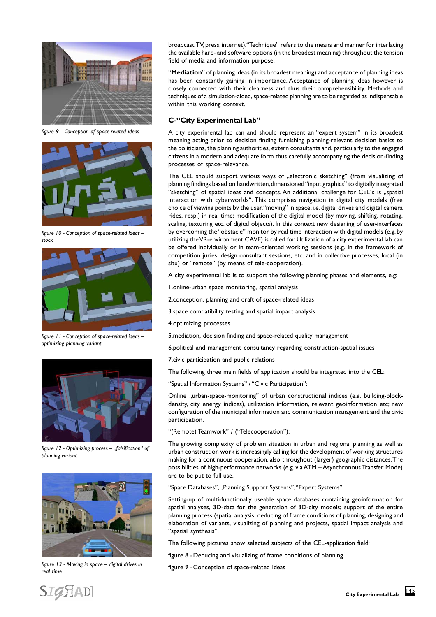

*figure 9 - Conception of space-related ideas*



*figure 10 - Conception of space-related ideas – stock*



*figure 11 - Conception of space-related ideas – optimizing planning variant*



*figure 12 - Optimizing process – "falsification" of planning variant*



*figure 13 - Moving in space – digital drives in real time*

broadcast, TV, press, internet)."Technique" refers to the means and manner for interlacing the available hard- and software options (in the broadest meaning) throughout the tension field of media and information purpose.

"**Mediation**" of planning ideas (in its broadest meaning) and acceptance of planning ideas has been constantly gaining in importance. Acceptance of planning ideas however is closely connected with their clearness and thus their comprehensibility. Methods and techniques of a simulation-aided, space-related planning are to be regarded as indispensable within this working context.

## **C-"City Experimental Lab"**

A city experimental lab can and should represent an "expert system" in its broadest meaning acting prior to decision finding furnishing planning-relevant decision basics to the politicians, the planning authorities, extern consultants and, particularly to the engaged citizens in a modern and adequate form thus carefully accompanying the decision-finding processes of space-relevance.

The CEL should support various ways of "electronic sketching" (from visualizing of planning findings based on handwritten, dimensioned "input graphics" to digitally integrated "sketching" of spatial ideas and concepts. An additional challenge for CEL's is "spatial interaction with cyberworlds". This comprises navigation in digital city models (free choice of viewing points by the user, "moving" in space, i.e. digital drives and digital camera rides, resp.) in real time; modification of the digital model (by moving, shifting, rotating, scaling, texturing etc. of digital objects). In this context new designing of user-interfaces by overcoming the "obstacle" monitor by real time interaction with digital models (e.g. by utilizing the VR-environment CAVE) is called for. Utilization of a city experimental lab can be offered individually or in team-oriented working sessions (e.g. in the framework of competition juries, design consultant sessions, etc. and in collective processes, local (in situ) or "remote" (by means of tele-cooperation).

A city experimental lab is to support the following planning phases and elements, e.g:

- 1.online-urban space monitoring, spatial analysis
- 2.conception, planning and draft of space-related ideas
- 3.space compatibility testing and spatial impact analysis
- 4.optimizing processes
- 5.mediation, decision finding and space-related quality management
- 6.political and management consultancy regarding construction-spatial issues
- 7.civic participation and public relations

The following three main fields of application should be integrated into the CEL:

"Spatial Information Systems" / "Civic Participation":

Online "urban-space-monitoring" of urban constructional indices (e.g. building-blockdensity, city energy indices), utilization information, relevant geoinformation etc; new configuration of the municipal information and communication management and the civic participation.

"(Remote) Teamwork" / ("Telecooperation"):

The growing complexity of problem situation in urban and regional planning as well as urban construction work is increasingly calling for the development of working structures making for a continuous cooperation, also throughout (larger) geographic distances. The possibilities of high-performance networks (e.g. via ATM – Asynchronous Transfer Mode) are to be put to full use.

"Space Databases", "Planning Support Systems", "Expert Systems"

Setting-up of multi-functionally useable space databases containing geoinformation for spatial analyses, 3D-data for the generation of 3D-city models; support of the entire planning process (spatial analysis, deducing of frame conditions of planning, designing and elaboration of variants, visualizing of planning and projects, spatial impact analysis and "spatial synthesis".

The following pictures show selected subjects of the CEL-application field:

figure 8 -Deducing and visualizing of frame conditions of planning

figure 9 -Conception of space-related ideas